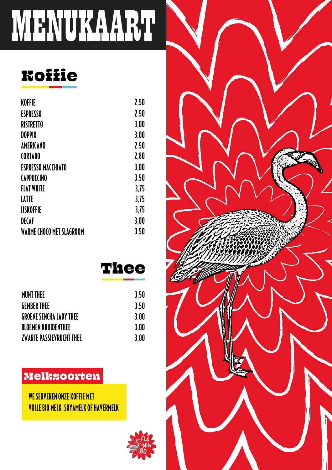# MENUKAART

#### **Koifie**

| KOFFIE                          | 2,50 |
|---------------------------------|------|
| <b>ESPRESSO</b>                 | 2,50 |
| <b>RISTRETTO</b>                | 3,00 |
| <b>DOPPIO</b>                   | 3,00 |
| <b>AMERICANO</b>                | 2,50 |
| <b>CORTADO</b>                  | 2,80 |
| <b>ESPRESSO MACCHIATO</b>       | 3,00 |
| <b>CAPPUCCINO</b>               | 3,50 |
| <b>FLAT WHITE</b>               | 3.75 |
| <b>LATTE</b>                    | 3,75 |
| <b>IJSKOFFIE</b>                | 3,75 |
| <b>DECAF</b>                    | 3,00 |
| <b>WARME CHOCO MET SLAGROOM</b> | 3,50 |

#### **Thee**

| MUNT THEE                | 3.50 |
|--------------------------|------|
| GEMBER THEE              | 3.50 |
| GROENE SENCHA LADY THEE  | 3.00 |
| BLOEMEN KRUIDENTHEE      | 3.00 |
| ZWARTE PASSIEVRUCHT THEE | 3.00 |
|                          |      |

#### **Melksoorten**

WE SERVEREN ONZE KOFFIE MET **VOLLE BIO MELK, SOYAMELK OF HAVERMELK** 



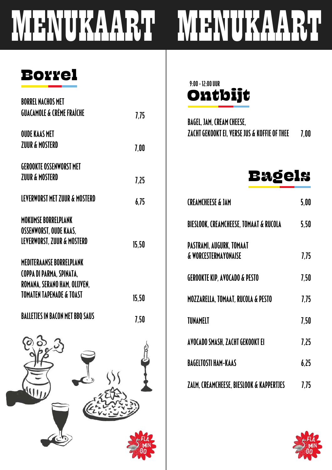# MENUKAART MENUKAART

#### Borrel

| <b>BORREL NACHOS MET</b>                             |       |
|------------------------------------------------------|-------|
| <b>GUACAMOLE &amp; CRÈME FRAÎCHE</b>                 | 7,75  |
| <b>OUDE KAAS MET</b>                                 |       |
| <b>ZUUR &amp; MOSTERD</b>                            | 7,00  |
| <b>GEROOKTE OSSENWORST MET</b>                       |       |
| <b>ZUUR &amp; MOSTERD</b>                            | 7,25  |
| LEVERWORST MET ZUUR & MOSTERD                        | 6,75  |
| <b>MOKUMSE BORRELPLANK</b>                           |       |
| OSSENWORST, OUDE KAAS,<br>LEVERWORST, ZUUR & MOSTERD | 15,50 |
| <b>MEDITERAANSE BORRELPLANK</b>                      |       |
| COPPA DI PARMA, SPINATA,                             |       |
| ROMANA, SERANO HAM, OLIJVEN,                         |       |
| <b>TOMATEN TAPENADE &amp; TOAST</b>                  | 15,50 |
| <b>BALLETJES IN BACON MET BBQ SAUS</b>               | 7,50  |
| (စဲ စဲ                                               | s     |
|                                                      |       |
|                                                      |       |
|                                                      |       |
|                                                      |       |
|                                                      |       |
|                                                      |       |
|                                                      |       |

Ontbijt 9:00 -12:00 UUR

| ZACHT GEKOOKT EI, VERSE JUS & KOFFIE OF THEE           7.00 |  |
|-------------------------------------------------------------|--|
| Bagels                                                      |  |

| <b>CREAMCHEESE &amp; JAM</b>                                | 5,00 |
|-------------------------------------------------------------|------|
| <b>BIESLOOK, CREAMCHEESE, TOMAAT &amp; RUCOLA</b>           | 5,50 |
| PASTRAMI, AUGURK, TOMAAT<br><b>&amp; WORCESTERMAYONAISE</b> | 7,75 |
| GEROOKTE KIP, AVOCADO & PESTO                               | 7,50 |
| MOZZARELLA, TOMAAT, RUCOLA & PESTO                          | 7,75 |
| TUNAMELT                                                    | 7,50 |
| AVOCADO SMASH, ZACHT GEKOOKT EI                             | 7,25 |
| <b>BAGELTOSTI HAM-KAAS</b>                                  | 6,25 |
| ZALM, CREAMCHEESE, BIESLOOK & KAPPERTJES                    | 7.75 |

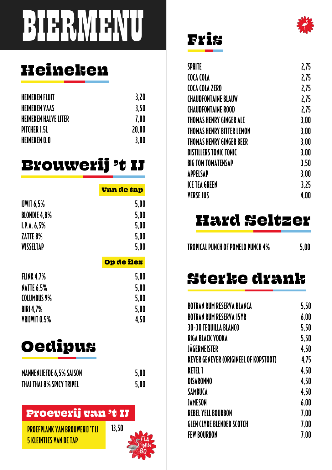# BIERMUENU

### Heineken

| <b>HEINEKEN FLUIT</b>       | 3.20  |
|-----------------------------|-------|
| <b>HEINEKEN VAAS</b>        | 3.50  |
| <b>HEINEKEN HALVE LITER</b> | 7.00  |
| PITCHER 1.5L                | 20.00 |
| HEINEKEN O.O                | 3.00  |

#### Brouwerij 't IJ

|                     | Van de tap |
|---------------------|------------|
|                     |            |
| $I$ JWIT $6.5%$     | 5,00       |
| <b>BLONDIE 4,8%</b> | 5,00       |
| I.P.A. 6,5%         | 5,00       |
| ZATTE 8%            | 5,00       |
| WISSELTAP           | 5.00       |
|                     | Op de fles |
|                     |            |
| <b>FLINK 4,7%</b>   | 5,00       |
| <b>NATTE 6,5%</b>   | 5,00       |
| <b>COLUMBUS 9%</b>  | 5,00       |
| <b>BIRI 4,7%</b>    | 5,00       |
| VRIJWIT 0,5%        | 4.50       |

### Oedipus

| <b>MANNENLIEFDE 6.5% SAISON</b>  | 5.00 |
|----------------------------------|------|
| <b>THAI THAI 8% SPICY TRIPEL</b> | 5.00 |

#### Proeverij van 't IJ

PROEFPLANK VAN BROUWERIJ 'T IJ 5 KLEINTJES VAN DE TAP



#### Fris

| <b>SPRITE</b>                 | 2,75 |
|-------------------------------|------|
| COCA COLA                     | 2.75 |
| COCA COLA ZERO                | 2,75 |
| <b>CHAUDFONTAINE BLAUW</b>    | 2.75 |
| <b>CHAUDFONTAINE ROOD</b>     | 2,75 |
| THOMAS HENRY GINGER ALE       | 3,00 |
| THOMAS HENRY BITTER LEMON     | 3,00 |
| THOMAS HENRY GINGER BEER      | 3.00 |
| <b>DISTILLERS TONIC TONIC</b> | 3.00 |
| <b>BIG TOM TOMATENSAP</b>     | 3,50 |
| APPELSAP                      | 3,00 |
| <b>ICE TEA GREEN</b>          | 3.25 |
| <b>VERSE JUS</b>              | 4.00 |
|                               |      |

#### Hard Seltzer

TROPICAL PUNCH OF POMELO PUNCH 4% 5,00

#### Sterke drank

| BOTRAN RUM RESERVA BLANCA                    | 5,50 |
|----------------------------------------------|------|
| BOTRAN RUM RESERVA 15YR                      | 6,00 |
| 30-30 TEQUILLA BLANCO                        | 5,50 |
| RIGA BLACK VODKA                             | 5,50 |
| JÄGERMEISTER                                 | 4,50 |
| <b>KEVER GENEVER (ORIGINEEL OF KOPSTOOT)</b> | 4,75 |
| KETEL 1                                      | 4,50 |
| <b>DISARONNO</b>                             | 4,50 |
| SAMBUCA                                      | 4.50 |
| JAMESON                                      | 6,00 |
| <b>REBEL YELL BOURBON</b>                    | 7,00 |
| GLEN CLYDE BLENDED SCOTCH                    | 7,00 |
| <b>FEW BOURBON</b>                           | 7,00 |
|                                              |      |